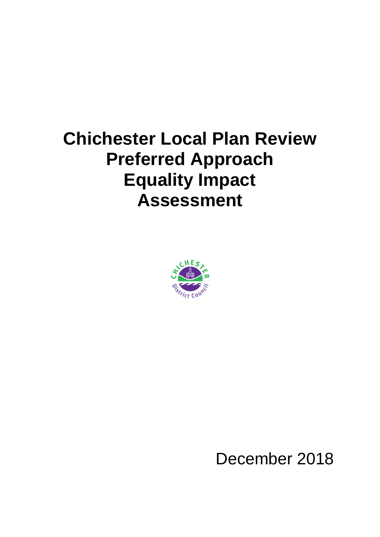## **Chichester Local Plan Review Preferred Approach Equality Impact Assessment**



December 2018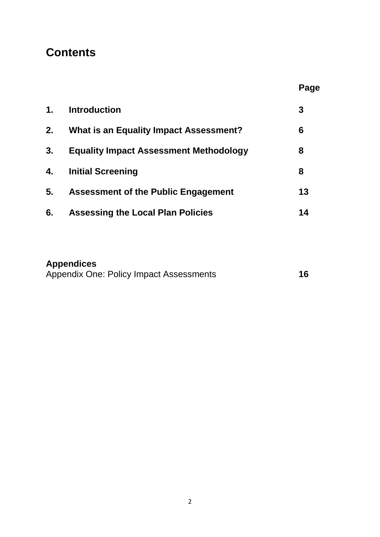## **Contents**

| ٠r<br>e.<br>v |
|---------------|
|---------------|

| 1 <sub>1</sub> | <b>Introduction</b>                           | 3  |
|----------------|-----------------------------------------------|----|
| 2.             | <b>What is an Equality Impact Assessment?</b> | 6  |
| 3.             | <b>Equality Impact Assessment Methodology</b> | 8  |
| 4.             | <b>Initial Screening</b>                      | 8  |
| 5 <sub>1</sub> | <b>Assessment of the Public Engagement</b>    | 13 |
| 6.             | <b>Assessing the Local Plan Policies</b>      | 14 |

## **Appendices**

|  | Appendix One: Policy Impact Assessments | 16 |
|--|-----------------------------------------|----|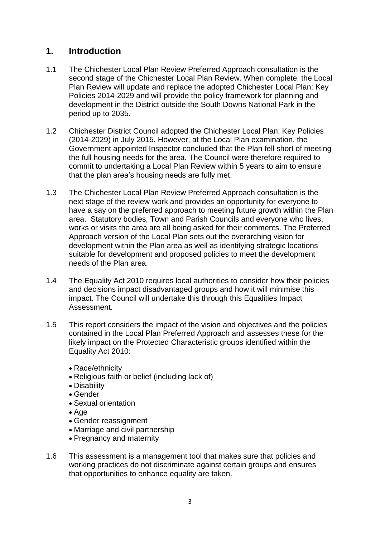## **1. Introduction**

- 1.1 The Chichester Local Plan Review Preferred Approach consultation is the second stage of the Chichester Local Plan Review. When complete, the Local Plan Review will update and replace the adopted Chichester Local Plan: Key Policies 2014-2029 and will provide the policy framework for planning and development in the District outside the South Downs National Park in the period up to 2035.
- 1.2 Chichester District Council adopted the Chichester Local Plan: Key Policies (2014-2029) in July 2015. However, at the Local Plan examination, the Government appointed Inspector concluded that the Plan fell short of meeting the full housing needs for the area. The Council were therefore required to commit to undertaking a Local Plan Review within 5 years to aim to ensure that the plan area's housing needs are fully met.
- 1.3 The Chichester Local Plan Review Preferred Approach consultation is the next stage of the review work and provides an opportunity for everyone to have a say on the preferred approach to meeting future growth within the Plan area. Statutory bodies, Town and Parish Councils and everyone who lives, works or visits the area are all being asked for their comments. The Preferred Approach version of the Local Plan sets out the overarching vision for development within the Plan area as well as identifying strategic locations suitable for development and proposed policies to meet the development needs of the Plan area.
- 1.4 The Equality Act 2010 requires local authorities to consider how their policies and decisions impact disadvantaged groups and how it will minimise this impact. The Council will undertake this through this Equalities Impact Assessment.
- 1.5 This report considers the impact of the vision and objectives and the policies contained in the Local Plan Preferred Approach and assesses these for the likely impact on the Protected Characteristic groups identified within the Equality Act 2010:
	- Race/ethnicity
	- Religious faith or belief (including lack of)
	- Disability
	- Gender
	- Sexual orientation
	- $\bullet$  Age
	- Gender reassignment
	- Marriage and civil partnership
	- Pregnancy and maternity
- 1.6 This assessment is a management tool that makes sure that policies and working practices do not discriminate against certain groups and ensures that opportunities to enhance equality are taken.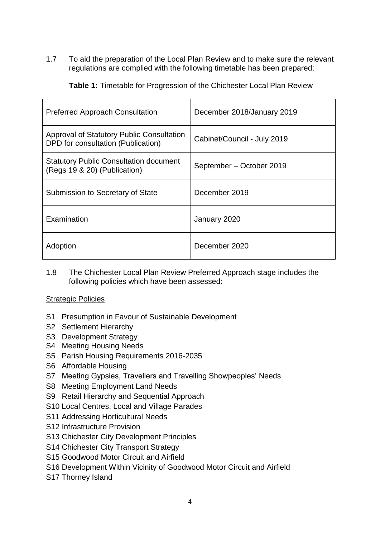1.7 To aid the preparation of the Local Plan Review and to make sure the relevant regulations are complied with the following timetable has been prepared:

| <b>Preferred Approach Consultation</b>                                          | December 2018/January 2019  |
|---------------------------------------------------------------------------------|-----------------------------|
| Approval of Statutory Public Consultation<br>DPD for consultation (Publication) | Cabinet/Council - July 2019 |
| <b>Statutory Public Consultation document</b><br>(Regs 19 & 20) (Publication)   | September – October 2019    |
| Submission to Secretary of State                                                | December 2019               |
| Examination                                                                     | January 2020                |
| Adoption                                                                        | December 2020               |

**Table 1:** Timetable for Progression of the Chichester Local Plan Review

1.8 The Chichester Local Plan Review Preferred Approach stage includes the following policies which have been assessed:

#### Strategic Policies

- S1 Presumption in Favour of Sustainable Development
- S2 Settlement Hierarchy
- S3 Development Strategy
- S4 Meeting Housing Needs
- S5 Parish Housing Requirements 2016-2035
- S6 Affordable Housing
- S7 Meeting Gypsies, Travellers and Travelling Showpeoples' Needs
- S8 Meeting Employment Land Needs
- S9 Retail Hierarchy and Sequential Approach
- S10 Local Centres, Local and Village Parades
- S11 Addressing Horticultural Needs
- S12 Infrastructure Provision
- S13 Chichester City Development Principles
- S14 Chichester City Transport Strategy
- S15 Goodwood Motor Circuit and Airfield
- S16 Development Within Vicinity of Goodwood Motor Circuit and Airfield
- S17 Thorney Island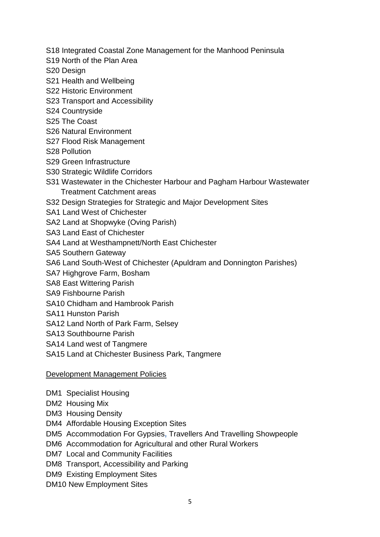- S18 Integrated Coastal Zone Management for the Manhood Peninsula
- S19 North of the Plan Area
- S20 Design
- S21 Health and Wellbeing
- S22 Historic Environment
- S23 Transport and Accessibility
- S24 Countryside
- S25 The Coast
- S26 Natural Environment
- S27 Flood Risk Management
- S28 Pollution
- S29 Green Infrastructure
- S30 Strategic Wildlife Corridors
- S31 Wastewater in the Chichester Harbour and Pagham Harbour Wastewater Treatment Catchment areas
- S32 Design Strategies for Strategic and Major Development Sites
- SA1 Land West of Chichester
- SA2 Land at Shopwyke (Oving Parish)
- SA3 Land East of Chichester
- SA4 Land at Westhampnett/North East Chichester
- SA5 Southern Gateway
- SA6 Land South-West of Chichester (Apuldram and Donnington Parishes)
- SA7 Highgrove Farm, Bosham
- SA8 East Wittering Parish
- SA9 Fishbourne Parish
- SA10 Chidham and Hambrook Parish
- SA11 Hunston Parish
- SA12 Land North of Park Farm, Selsey
- SA13 Southbourne Parish
- SA14 Land west of Tangmere
- SA15 Land at Chichester Business Park, Tangmere

#### Development Management Policies

- DM1 Specialist Housing
- DM2 Housing Mix
- DM3 Housing Density
- DM4 Affordable Housing Exception Sites
- DM5 Accommodation For Gypsies**,** Travellers And Travelling Showpeople
- DM6 Accommodation for Agricultural and other Rural Workers
- DM7 Local and Community Facilities
- DM8 Transport, Accessibility and Parking
- DM9 Existing Employment Sites
- DM10 New Employment Sites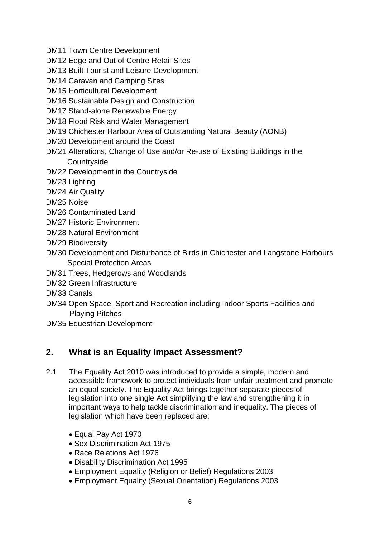- DM11 Town Centre Development
- DM12 Edge and Out of Centre Retail Sites
- DM13 Built Tourist and Leisure Development
- DM14 Caravan and Camping Sites
- DM15 Horticultural Development
- DM16 Sustainable Design and Construction
- DM17 Stand-alone Renewable Energy
- DM18 Flood Risk and Water Management
- DM19 Chichester Harbour Area of Outstanding Natural Beauty (AONB)
- DM20 Development around the Coast
- DM21 Alterations, Change of Use and/or Re-use of Existing Buildings in the **Countryside**
- DM22 Development in the Countryside
- DM23 Lighting
- DM24 Air Quality
- DM25 Noise
- DM26 Contaminated Land
- DM27 Historic Environment
- DM28 Natural Environment
- DM29 Biodiversity
- DM30 Development and Disturbance of Birds in Chichester and Langstone Harbours Special Protection Areas
- DM31 Trees, Hedgerows and Woodlands
- DM32 Green Infrastructure
- DM33 Canals
- DM34 Open Space, Sport and Recreation including Indoor Sports Facilities and Playing Pitches
- DM35 Equestrian Development

## **2. What is an Equality Impact Assessment?**

- 2.1 The Equality Act 2010 was introduced to provide a simple, modern and accessible framework to protect individuals from unfair treatment and promote an equal society. The Equality Act brings together separate pieces of legislation into one single Act simplifying the law and strengthening it in important ways to help tackle discrimination and inequality. The pieces of legislation which have been replaced are:
	- Equal Pay Act 1970
	- Sex Discrimination Act 1975
	- Race Relations Act 1976
	- Disability Discrimination Act 1995
	- Employment Equality (Religion or Belief) Regulations 2003
	- Employment Equality (Sexual Orientation) Regulations 2003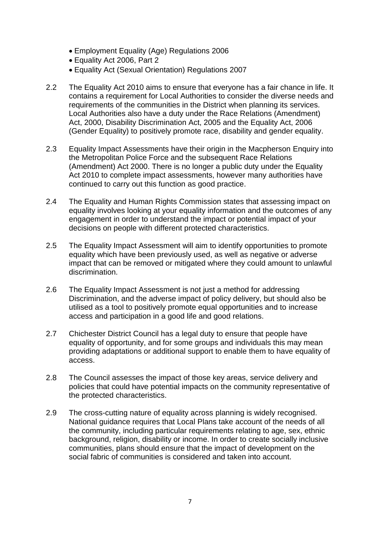- Employment Equality (Age) Regulations 2006
- Equality Act 2006, Part 2
- Equality Act (Sexual Orientation) Regulations 2007
- 2.2 The Equality Act 2010 aims to ensure that everyone has a fair chance in life. It contains a requirement for Local Authorities to consider the diverse needs and requirements of the communities in the District when planning its services. Local Authorities also have a duty under the Race Relations (Amendment) Act, 2000, Disability Discrimination Act, 2005 and the Equality Act, 2006 (Gender Equality) to positively promote race, disability and gender equality.
- 2.3 Equality Impact Assessments have their origin in the Macpherson Enquiry into the Metropolitan Police Force and the subsequent Race Relations (Amendment) Act 2000. There is no longer a public duty under the Equality Act 2010 to complete impact assessments, however many authorities have continued to carry out this function as good practice.
- 2.4 The Equality and Human Rights Commission states that assessing impact on equality involves looking at your equality information and the outcomes of any engagement in order to understand the impact or potential impact of your decisions on people with different protected characteristics.
- 2.5 The Equality Impact Assessment will aim to identify opportunities to promote equality which have been previously used, as well as negative or adverse impact that can be removed or mitigated where they could amount to unlawful discrimination.
- 2.6 The Equality Impact Assessment is not just a method for addressing Discrimination, and the adverse impact of policy delivery, but should also be utilised as a tool to positively promote equal opportunities and to increase access and participation in a good life and good relations.
- 2.7 Chichester District Council has a legal duty to ensure that people have equality of opportunity, and for some groups and individuals this may mean providing adaptations or additional support to enable them to have equality of access.
- 2.8 The Council assesses the impact of those key areas, service delivery and policies that could have potential impacts on the community representative of the protected characteristics.
- 2.9 The cross-cutting nature of equality across planning is widely recognised. National guidance requires that Local Plans take account of the needs of all the community, including particular requirements relating to age, sex, ethnic background, religion, disability or income. In order to create socially inclusive communities, plans should ensure that the impact of development on the social fabric of communities is considered and taken into account.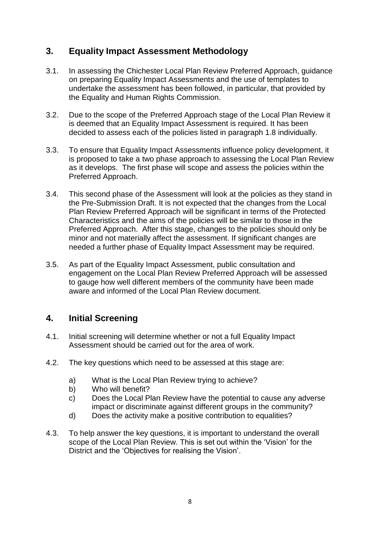## **3. Equality Impact Assessment Methodology**

- 3.1. In assessing the Chichester Local Plan Review Preferred Approach, guidance on preparing Equality Impact Assessments and the use of templates to undertake the assessment has been followed, in particular, that provided by the Equality and Human Rights Commission.
- 3.2. Due to the scope of the Preferred Approach stage of the Local Plan Review it is deemed that an Equality Impact Assessment is required. It has been decided to assess each of the policies listed in paragraph 1.8 individually.
- 3.3. To ensure that Equality Impact Assessments influence policy development, it is proposed to take a two phase approach to assessing the Local Plan Review as it develops. The first phase will scope and assess the policies within the Preferred Approach.
- 3.4. This second phase of the Assessment will look at the policies as they stand in the Pre-Submission Draft. It is not expected that the changes from the Local Plan Review Preferred Approach will be significant in terms of the Protected Characteristics and the aims of the policies will be similar to those in the Preferred Approach. After this stage, changes to the policies should only be minor and not materially affect the assessment. If significant changes are needed a further phase of Equality Impact Assessment may be required.
- 3.5. As part of the Equality Impact Assessment, public consultation and engagement on the Local Plan Review Preferred Approach will be assessed to gauge how well different members of the community have been made aware and informed of the Local Plan Review document.

## **4. Initial Screening**

- 4.1. Initial screening will determine whether or not a full Equality Impact Assessment should be carried out for the area of work.
- 4.2. The key questions which need to be assessed at this stage are:
	- a) What is the Local Plan Review trying to achieve?
	- b) Who will benefit?
	- c) Does the Local Plan Review have the potential to cause any adverse impact or discriminate against different groups in the community?
	- d) Does the activity make a positive contribution to equalities?
- 4.3. To help answer the key questions, it is important to understand the overall scope of the Local Plan Review. This is set out within the 'Vision' for the District and the 'Objectives for realising the Vision'.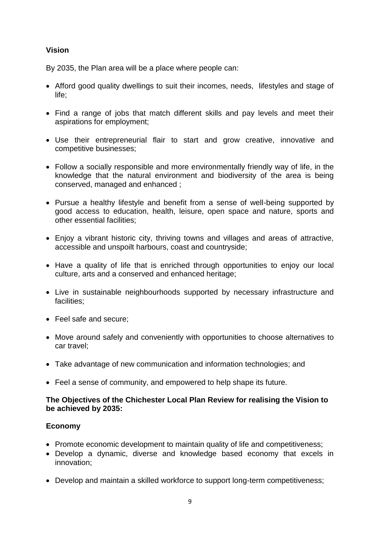#### **Vision**

By 2035, the Plan area will be a place where people can:

- Afford good quality dwellings to suit their incomes, needs, lifestyles and stage of life;
- Find a range of jobs that match different skills and pay levels and meet their aspirations for employment;
- Use their entrepreneurial flair to start and grow creative, innovative and competitive businesses;
- Follow a socially responsible and more environmentally friendly way of life, in the knowledge that the natural environment and biodiversity of the area is being conserved, managed and enhanced ;
- Pursue a healthy lifestyle and benefit from a sense of well-being supported by good access to education, health, leisure, open space and nature, sports and other essential facilities;
- Enjoy a vibrant historic city, thriving towns and villages and areas of attractive, accessible and unspoilt harbours, coast and countryside;
- Have a quality of life that is enriched through opportunities to enjoy our local culture, arts and a conserved and enhanced heritage;
- Live in sustainable neighbourhoods supported by necessary infrastructure and facilities;
- Feel safe and secure:
- Move around safely and conveniently with opportunities to choose alternatives to car travel;
- Take advantage of new communication and information technologies; and
- Feel a sense of community, and empowered to help shape its future.

#### **The Objectives of the Chichester Local Plan Review for realising the Vision to be achieved by 2035:**

#### **Economy**

- Promote economic development to maintain quality of life and competitiveness;
- Develop a dynamic, diverse and knowledge based economy that excels in innovation;
- Develop and maintain a skilled workforce to support long-term competitiveness;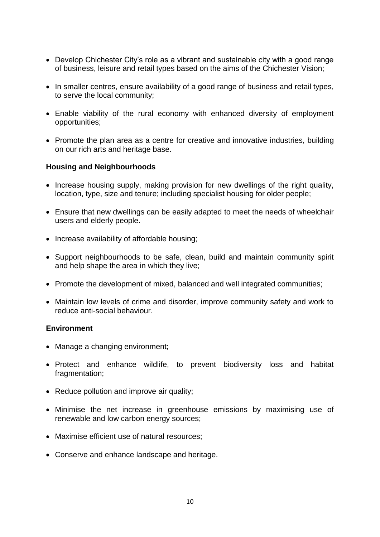- Develop Chichester City's role as a vibrant and sustainable city with a good range of business, leisure and retail types based on the aims of the Chichester Vision;
- In smaller centres, ensure availability of a good range of business and retail types, to serve the local community;
- Enable viability of the rural economy with enhanced diversity of employment opportunities;
- Promote the plan area as a centre for creative and innovative industries, building on our rich arts and heritage base.

#### **Housing and Neighbourhoods**

- Increase housing supply, making provision for new dwellings of the right quality, location, type, size and tenure; including specialist housing for older people;
- Ensure that new dwellings can be easily adapted to meet the needs of wheelchair users and elderly people.
- Increase availability of affordable housing;
- Support neighbourhoods to be safe, clean, build and maintain community spirit and help shape the area in which they live;
- Promote the development of mixed, balanced and well integrated communities;
- Maintain low levels of crime and disorder, improve community safety and work to reduce anti-social behaviour.

#### **Environment**

- Manage a changing environment;
- Protect and enhance wildlife, to prevent biodiversity loss and habitat fragmentation:
- Reduce pollution and improve air quality;
- Minimise the net increase in greenhouse emissions by maximising use of renewable and low carbon energy sources;
- Maximise efficient use of natural resources:
- Conserve and enhance landscape and heritage.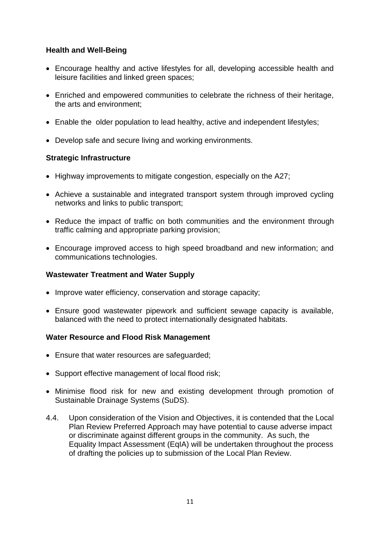#### **Health and Well-Being**

- Encourage healthy and active lifestyles for all, developing accessible health and leisure facilities and linked green spaces;
- Enriched and empowered communities to celebrate the richness of their heritage, the arts and environment;
- Enable the older population to lead healthy, active and independent lifestyles;
- Develop safe and secure living and working environments.

#### **Strategic Infrastructure**

- Highway improvements to mitigate congestion, especially on the A27;
- Achieve a sustainable and integrated transport system through improved cycling networks and links to public transport;
- Reduce the impact of traffic on both communities and the environment through traffic calming and appropriate parking provision;
- Encourage improved access to high speed broadband and new information; and communications technologies.

#### **Wastewater Treatment and Water Supply**

- Improve water efficiency, conservation and storage capacity;
- Ensure good wastewater pipework and sufficient sewage capacity is available, balanced with the need to protect internationally designated habitats.

#### **Water Resource and Flood Risk Management**

- Ensure that water resources are safeguarded;
- Support effective management of local flood risk:
- Minimise flood risk for new and existing development through promotion of Sustainable Drainage Systems (SuDS).
- 4.4. Upon consideration of the Vision and Objectives, it is contended that the Local Plan Review Preferred Approach may have potential to cause adverse impact or discriminate against different groups in the community. As such, the Equality Impact Assessment (EqIA) will be undertaken throughout the process of drafting the policies up to submission of the Local Plan Review.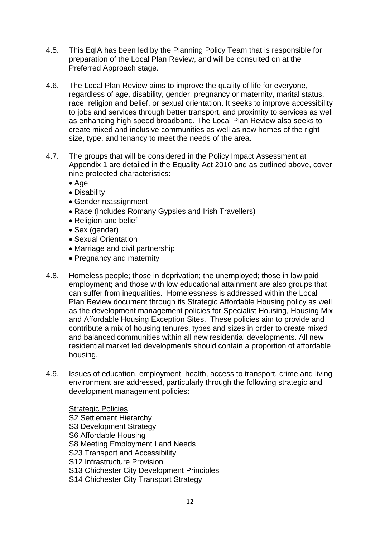- 4.5. This EqIA has been led by the Planning Policy Team that is responsible for preparation of the Local Plan Review, and will be consulted on at the Preferred Approach stage.
- 4.6. The Local Plan Review aims to improve the quality of life for everyone, regardless of age, disability, gender, pregnancy or maternity, marital status, race, religion and belief, or sexual orientation. It seeks to improve accessibility to jobs and services through better transport, and proximity to services as well as enhancing high speed broadband. The Local Plan Review also seeks to create mixed and inclusive communities as well as new homes of the right size, type, and tenancy to meet the needs of the area.
- 4.7. The groups that will be considered in the Policy Impact Assessment at Appendix 1 are detailed in the Equality Act 2010 and as outlined above, cover nine protected characteristics:
	- Age
	- Disability
	- Gender reassignment
	- Race (Includes Romany Gypsies and Irish Travellers)
	- Religion and belief
	- Sex (gender)
	- Sexual Orientation
	- Marriage and civil partnership
	- Pregnancy and maternity
- 4.8. Homeless people; those in deprivation; the unemployed; those in low paid employment; and those with low educational attainment are also groups that can suffer from inequalities. Homelessness is addressed within the Local Plan Review document through its Strategic Affordable Housing policy as well as the development management policies for Specialist Housing, Housing Mix and Affordable Housing Exception Sites. These policies aim to provide and contribute a mix of housing tenures, types and sizes in order to create mixed and balanced communities within all new residential developments. All new residential market led developments should contain a proportion of affordable housing.
- 4.9. Issues of education, employment, health, access to transport, crime and living environment are addressed, particularly through the following strategic and development management policies:

Strategic Policies S2 Settlement Hierarchy S3 Development Strategy S6 Affordable Housing S8 Meeting Employment Land Needs S23 Transport and Accessibility S12 Infrastructure Provision S13 Chichester City Development Principles S14 Chichester City Transport Strategy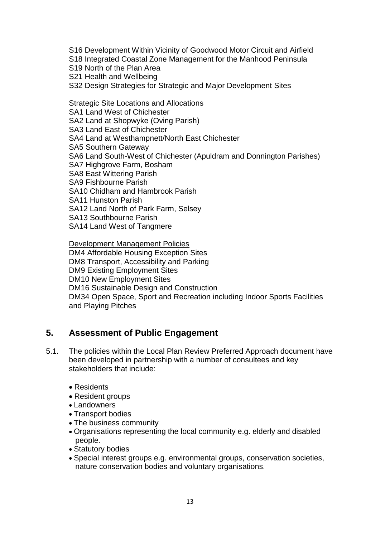S16 Development Within Vicinity of Goodwood Motor Circuit and Airfield

S18 Integrated Coastal Zone Management for the Manhood Peninsula

S19 North of the Plan Area

S21 Health and Wellbeing

S32 Design Strategies for Strategic and Major Development Sites

Strategic Site Locations and Allocations

SA1 Land West of Chichester SA2 Land at Shopwyke (Oving Parish) SA3 Land East of Chichester SA4 Land at Westhampnett/North East Chichester SA5 Southern Gateway SA6 Land South-West of Chichester (Apuldram and Donnington Parishes) SA7 Highgrove Farm, Bosham SA8 East Wittering Parish SA9 Fishbourne Parish SA10 Chidham and Hambrook Parish SA11 Hunston Parish SA12 Land North of Park Farm, Selsey SA13 Southbourne Parish SA14 Land West of Tangmere

Development Management Policies DM4 Affordable Housing Exception Sites DM8 Transport, Accessibility and Parking DM9 Existing Employment Sites DM10 New Employment Sites DM16 Sustainable Design and Construction DM34 Open Space, Sport and Recreation including Indoor Sports Facilities and Playing Pitches

## **5. Assessment of Public Engagement**

- 5.1. The policies within the Local Plan Review Preferred Approach document have been developed in partnership with a number of consultees and key stakeholders that include:
	- Residents
	- Resident groups
	- Landowners
	- Transport bodies
	- The business community
	- Organisations representing the local community e.g. elderly and disabled people.
	- Statutory bodies
	- Special interest groups e.g. environmental groups, conservation societies, nature conservation bodies and voluntary organisations.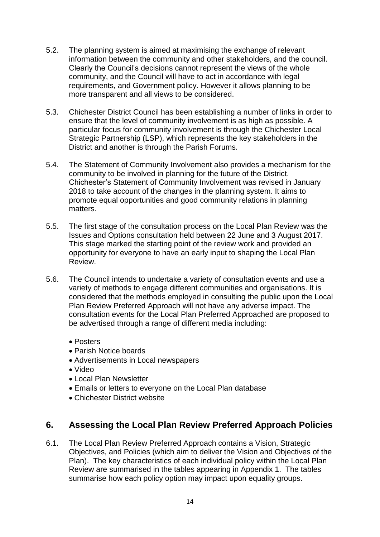- 5.2. The planning system is aimed at maximising the exchange of relevant information between the community and other stakeholders, and the council. Clearly the Council's decisions cannot represent the views of the whole community, and the Council will have to act in accordance with legal requirements, and Government policy. However it allows planning to be more transparent and all views to be considered.
- 5.3. Chichester District Council has been establishing a number of links in order to ensure that the level of community involvement is as high as possible. A particular focus for community involvement is through the Chichester Local Strategic Partnership (LSP), which represents the key stakeholders in the District and another is through the Parish Forums.
- 5.4. The Statement of Community Involvement also provides a mechanism for the community to be involved in planning for the future of the District. Chichester's Statement of Community Involvement was revised in January 2018 to take account of the changes in the planning system. It aims to promote equal opportunities and good community relations in planning matters.
- 5.5. The first stage of the consultation process on the Local Plan Review was the Issues and Options consultation held between 22 June and 3 August 2017. This stage marked the starting point of the review work and provided an opportunity for everyone to have an early input to shaping the Local Plan Review.
- 5.6. The Council intends to undertake a variety of consultation events and use a variety of methods to engage different communities and organisations. It is considered that the methods employed in consulting the public upon the Local Plan Review Preferred Approach will not have any adverse impact. The consultation events for the Local Plan Preferred Approached are proposed to be advertised through a range of different media including:
	- Posters
	- Parish Notice boards
	- Advertisements in Local newspapers
	- Video
	- Local Plan Newsletter
	- Emails or letters to everyone on the Local Plan database
	- Chichester District website

## **6. Assessing the Local Plan Review Preferred Approach Policies**

6.1. The Local Plan Review Preferred Approach contains a Vision, Strategic Objectives, and Policies (which aim to deliver the Vision and Objectives of the Plan). The key characteristics of each individual policy within the Local Plan Review are summarised in the tables appearing in Appendix 1. The tables summarise how each policy option may impact upon equality groups.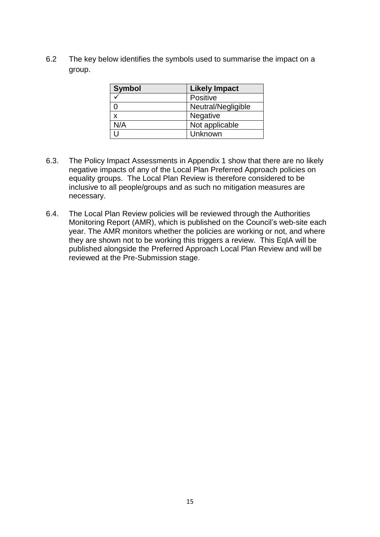6.2 The key below identifies the symbols used to summarise the impact on a group.

| <b>Symbol</b> | <b>Likely Impact</b> |
|---------------|----------------------|
|               | Positive             |
|               | Neutral/Negligible   |
| X             | Negative             |
| N/A           | Not applicable       |
|               | Unknown              |

- 6.3. The Policy Impact Assessments in Appendix 1 show that there are no likely negative impacts of any of the Local Plan Preferred Approach policies on equality groups. The Local Plan Review is therefore considered to be inclusive to all people/groups and as such no mitigation measures are necessary.
- 6.4. The Local Plan Review policies will be reviewed through the Authorities Monitoring Report (AMR), which is published on the Council's web-site each year. The AMR monitors whether the policies are working or not, and where they are shown not to be working this triggers a review. This EqIA will be published alongside the Preferred Approach Local Plan Review and will be reviewed at the Pre-Submission stage.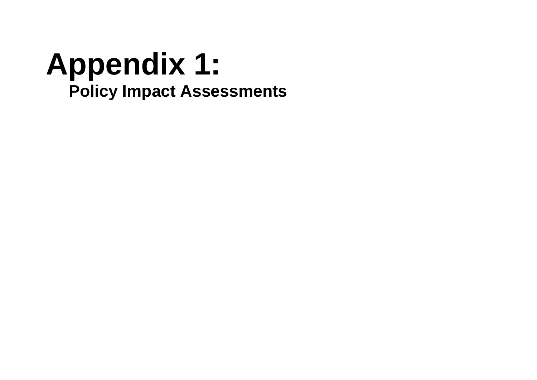# **Appendix 1: Policy Impact Assessments**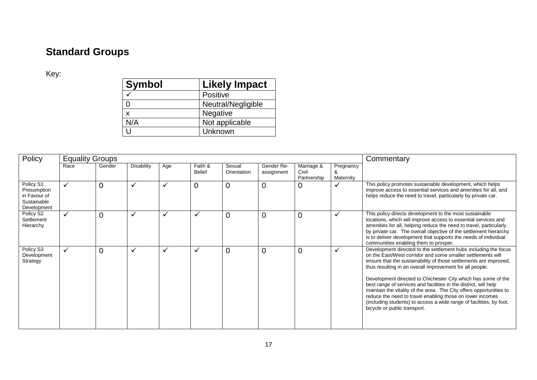## **Standard Groups**

Key:

| <b>Symbol</b> | <b>Likely Impact</b> |
|---------------|----------------------|
|               | Positive             |
|               | Neutral/Negligible   |
| X             | Negative             |
| N/A           | Not applicable       |
|               | Unknown              |

| Policy                                                                 | <b>Equality Groups</b> |                |                   |     |                          |                       |                          |                                    | Commentary             |                                                                                                                                                                                                                                                                                                                                                                                                                                                                                                                                                                                                                                                 |
|------------------------------------------------------------------------|------------------------|----------------|-------------------|-----|--------------------------|-----------------------|--------------------------|------------------------------------|------------------------|-------------------------------------------------------------------------------------------------------------------------------------------------------------------------------------------------------------------------------------------------------------------------------------------------------------------------------------------------------------------------------------------------------------------------------------------------------------------------------------------------------------------------------------------------------------------------------------------------------------------------------------------------|
|                                                                        | Race                   | Gender         | <b>Disability</b> | Age | Faith &<br><b>Belief</b> | Sexual<br>Orientation | Gender Re-<br>assignment | Marriage &<br>Civil<br>Partnership | Pregnancy<br>Maternity |                                                                                                                                                                                                                                                                                                                                                                                                                                                                                                                                                                                                                                                 |
| Policy S1<br>Presumption<br>in Favour of<br>Sustainable<br>Development |                        | $\overline{0}$ | $\checkmark$      |     | 0                        | $\overline{0}$        | $\overline{0}$           | $\mathbf 0$                        | $\checkmark$           | This policy promotes sustainable development, which helps<br>improve access to essential services and amenities for all, and<br>helps reduce the need to travel, particularly by private car.                                                                                                                                                                                                                                                                                                                                                                                                                                                   |
| Policy S2<br>Settlement<br>Hierarchy                                   | $\checkmark$           | $\overline{0}$ | $\checkmark$      |     | V                        | 0                     | $\Omega$                 | $\overline{0}$                     | $\checkmark$           | This policy directs development to the most sustainable<br>locations, which will improve access to essential services and<br>amenities for all, helping reduce the need to travel, particularly<br>by private car. The overall objective of the settlement hierarchy<br>is to deliver development that supports the needs of individual<br>communities enabling them to prosper.                                                                                                                                                                                                                                                                |
| Policy S3<br>Development<br>Strategy                                   | $\checkmark$           | $\overline{0}$ | $\checkmark$      | ✔   | $\checkmark$             | $\overline{0}$        | $\overline{0}$           | $\overline{0}$                     | $\checkmark$           | Development directed to the settlement hubs including the focus<br>on the East/West corridor and some smaller settlements will<br>ensure that the sustainability of those settlements are improved,<br>thus resulting in an overall improvement for all people.<br>Development directed to Chichester City which has some of the<br>best range of services and facilities in the district, will help<br>maintain the vitality of the area. The City offers opportunities to<br>reduce the need to travel enabling those on lower incomes<br>(including students) to access a wide range of facilities, by foot,<br>bicycle or public transport. |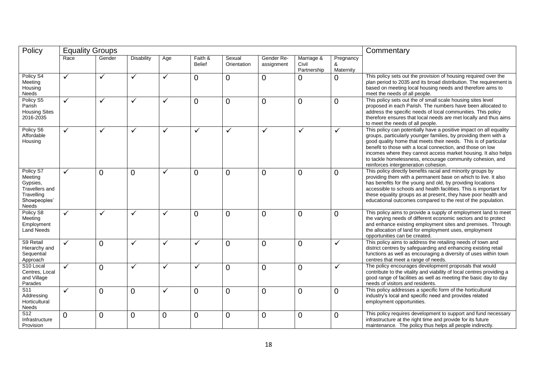| Policy                                                                                           | <b>Equality Groups</b> |                |                   |              |                          |                       |                          |                                    |                             | Commentary                                                                                                                                                                                                                                                                                                                                                                                                                                    |  |
|--------------------------------------------------------------------------------------------------|------------------------|----------------|-------------------|--------------|--------------------------|-----------------------|--------------------------|------------------------------------|-----------------------------|-----------------------------------------------------------------------------------------------------------------------------------------------------------------------------------------------------------------------------------------------------------------------------------------------------------------------------------------------------------------------------------------------------------------------------------------------|--|
|                                                                                                  | Race                   | Gender         | <b>Disability</b> | Age          | Faith &<br><b>Belief</b> | Sexual<br>Orientation | Gender Re-<br>assignment | Marriage &<br>Civil<br>Partnership | Pregnancy<br>&<br>Maternity |                                                                                                                                                                                                                                                                                                                                                                                                                                               |  |
| Policy S4<br>Meeting<br>Housing<br>Needs                                                         | $\checkmark$           | $\checkmark$   | ✓                 | $\checkmark$ | 0                        | $\Omega$              | $\Omega$                 | $\Omega$                           | $\Omega$                    | This policy sets out the provision of housing required over the<br>plan period to 2035 and its broad distribution. The requirement is<br>based on meeting local housing needs and therefore aims to<br>meet the needs of all people.                                                                                                                                                                                                          |  |
| Policy S5<br>Parish<br><b>Housing Sites</b><br>2016-2035                                         | ✓                      | $\checkmark$   | ✓                 | $\checkmark$ | $\overline{0}$           | $\overline{0}$        | $\overline{0}$           | $\overline{0}$                     | $\overline{0}$              | This policy sets out the of small scale housing sites level<br>proposed in each Parish. The numbers have been allocated to<br>address the specific needs of local communities. This policy<br>therefore ensures that local needs are met locally and thus aims<br>to meet the needs of all people.                                                                                                                                            |  |
| Policy S6<br>Affordable<br>Housing                                                               | $\checkmark$           | ✓              | ✓                 | ✓            | ✓                        | ✓                     | ✓                        | $\checkmark$                       | ✓                           | This policy can potentially have a positive impact on all equality<br>groups, particularly younger families, by providing them with a<br>good quality home that meets their needs. This is of particular<br>benefit to those with a local connection, and those on low<br>incomes where they cannot access market housing. It also helps<br>to tackle homelessness, encourage community cohesion, and<br>reinforces intergeneration cohesion. |  |
| Policy S7<br>Meeting<br>Gypsies,<br><b>Travellers and</b><br>Travelling<br>Showpeoples'<br>Needs | $\checkmark$           | $\Omega$       | 0                 | $\checkmark$ | 0                        | $\overline{0}$        | $\Omega$                 | $\mathbf 0$                        | $\overline{0}$              | This policy directly benefits racial and minority groups by<br>providing them with a permanent base on which to live. It also<br>has benefits for the young and old, by providing locations<br>accessible to schools and health facilities. This is important for<br>these equality groups as at present, they have poor health and<br>educational outcomes compared to the rest of the population.                                           |  |
| Policy S8<br>Meeting<br>Employment<br><b>Land Needs</b>                                          | $\checkmark$           | ✓              | ✓                 | $\checkmark$ | $\overline{0}$           | $\overline{0}$        | $\Omega$                 | $\overline{0}$                     | $\overline{0}$              | This policy aims to provide a supply of employment land to meet<br>the varying needs of different economic sectors and to protect<br>and enhance existing employment sites and premises. Through<br>the allocation of land for employment uses, employment<br>opportunities can be created.                                                                                                                                                   |  |
| S9 Retail<br>Hierarchy and<br>Sequential<br>Approach                                             | $\checkmark$           | $\Omega$       | ✓                 | $\checkmark$ | ✓                        | $\overline{0}$        | $\overline{0}$           | $\overline{0}$                     | ✓                           | This policy aims to address the retailing needs of town and<br>district centres by safeguarding and enhancing existing retail<br>functions as well as encouraging a diversity of uses within town<br>centres that meet a range of needs.                                                                                                                                                                                                      |  |
| S <sub>10</sub> Local<br>Centres, Local<br>and Village<br>Parades                                | ✓                      | $\overline{0}$ | ✓                 | $\checkmark$ | $\checkmark$             | $\overline{0}$        | $\Omega$                 | $\mathbf 0$                        | ✓                           | The policy encourages development proposals that would<br>contribute to the vitality and viability of local centres providing a<br>good range of facilities as well as meeting the basic day to day<br>needs of visitors and residents.                                                                                                                                                                                                       |  |
| S <sub>11</sub><br>Addressing<br>Horticultural<br>Needs                                          | ✓                      | $\overline{0}$ | $\overline{0}$    | $\checkmark$ | $\overline{0}$           | $\overline{0}$        | $\overline{0}$           | $\overline{0}$                     | $\overline{0}$              | This policy addresses a specific form of the horticultural<br>industry's local and specific need and provides related<br>employment opportunities.                                                                                                                                                                                                                                                                                            |  |
| $\overline{S12}$<br>Infrastructure<br>Provision                                                  | $\Omega$               | $\overline{0}$ | 0                 | $\mathbf 0$  | $\overline{0}$           | $\overline{0}$        | $\overline{0}$           | $\mathbf 0$                        | $\overline{0}$              | This policy requires development to support and fund necessary<br>infrastructure at the right time and provide for its future<br>maintenance. The policy thus helps all people indirectly.                                                                                                                                                                                                                                                    |  |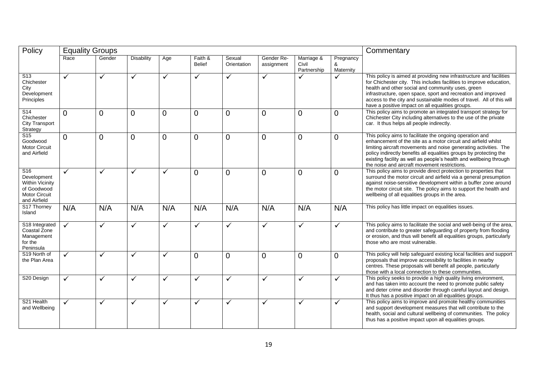| Policy                                                                                                          | <b>Equality Groups</b> |                |                   |                |                          | Commentary            |                          |                                    |                             |                                                                                                                                                                                                                                                                                                                                                                                              |
|-----------------------------------------------------------------------------------------------------------------|------------------------|----------------|-------------------|----------------|--------------------------|-----------------------|--------------------------|------------------------------------|-----------------------------|----------------------------------------------------------------------------------------------------------------------------------------------------------------------------------------------------------------------------------------------------------------------------------------------------------------------------------------------------------------------------------------------|
|                                                                                                                 | Race                   | Gender         | <b>Disability</b> | Age            | Faith &<br><b>Belief</b> | Sexual<br>Orientation | Gender Re-<br>assignment | Marriage &<br>Civil<br>Partnership | Pregnancy<br>&<br>Maternity |                                                                                                                                                                                                                                                                                                                                                                                              |
| $\overline{S13}$<br>Chichester<br>City<br>Development<br>Principles                                             | ✓                      | $\checkmark$   | $\checkmark$      | $\checkmark$   | ✓                        | ✓                     | ✓                        |                                    | ✓                           | This policy is aimed at providing new infrastructure and facilities<br>for Chichester city. This includes facilities to improve education,<br>health and other social and community uses, green<br>infrastructure, open space, sport and recreation and improved<br>access to the city and sustainable modes of travel. All of this will<br>have a positive impact on all equalities groups. |
| S14<br>Chichester<br><b>City Transport</b><br>Strategy                                                          | $\overline{0}$         | $\overline{0}$ | 0                 | $\mathbf 0$    | $\overline{0}$           | $\overline{0}$        | $\overline{0}$           | $\overline{0}$                     | $\overline{0}$              | This policy aims to promote an integrated transport strategy for<br>Chichester City including alternatives to the use of the private<br>car. It thus helps all people indirectly.                                                                                                                                                                                                            |
| S <sub>15</sub><br>Goodwood<br><b>Motor Circuit</b><br>and Airfield                                             | $\Omega$               | $\Omega$       | $\overline{0}$    | $\overline{0}$ | $\overline{0}$           | $\overline{0}$        | $\Omega$                 | $\overline{0}$                     | $\overline{0}$              | This policy aims to facilitate the ongoing operation and<br>enhancement of the site as a motor circuit and airfield whilst<br>limiting aircraft movements and noise generating activities. The<br>policy indirectly benefits all equalities groups by protecting the<br>existing facility as well as people's health and wellbeing through<br>the noise and aircraft movement restrictions.  |
| S <sub>16</sub><br>Development<br><b>Within Vicinity</b><br>of Goodwood<br><b>Motor Circuit</b><br>and Airfield | $\checkmark$           | $\checkmark$   | ✓                 | $\checkmark$   | $\overline{0}$           | $\overline{0}$        | $\overline{0}$           | $\overline{0}$                     | $\overline{0}$              | This policy aims to provide direct protection to properties that<br>surround the motor circuit and airfield via a general presumption<br>against noise-sensitive development within a buffer zone around<br>the motor circuit site. The policy aims to support the health and<br>wellbeing of all equalities groups in the area.                                                             |
| S17 Thorney<br>Island                                                                                           | N/A                    | N/A            | N/A               | N/A            | N/A                      | N/A                   | N/A                      | N/A                                | N/A                         | This policy has little impact on equalities issues.                                                                                                                                                                                                                                                                                                                                          |
| S18 Integrated<br>Coastal Zone<br>Management<br>for the<br>Peninsula                                            | $\checkmark$           | ✓              | ✓                 | $\checkmark$   | ✓                        | $\checkmark$          | ✓                        | $\checkmark$                       | ✓                           | This policy aims to facilitate the social and well-being of the area,<br>and contribute to greater safeguarding of property from flooding<br>or erosion, and thus will benefit all equalities groups, particularly<br>those who are most vulnerable.                                                                                                                                         |
| S19 North of<br>the Plan Area                                                                                   | ✓                      | $\checkmark$   | ✓                 | $\checkmark$   | $\overline{0}$           | $\Omega$              | $\overline{0}$           | $\overline{0}$                     | $\overline{0}$              | This policy will help safeguard existing local facilities and support<br>proposals that improve accessibility to facilities in nearby<br>centres. These proposals will benefit all people, particularly<br>those with a local connection to these communities.                                                                                                                               |
| S20 Design                                                                                                      | $\checkmark$           | $\checkmark$   | ✓                 | ✓              | ✓                        | ✓                     | ✓                        | $\checkmark$                       | ✓                           | This policy seeks to provide a high quality living environment,<br>and has taken into account the need to promote public safety<br>and deter crime and disorder through careful layout and design.<br>It thus has a positive impact on all equalities groups.                                                                                                                                |
| S21 Health<br>and Wellbeing                                                                                     | ✓                      | ✓              | ✓                 | ✓              | ✓                        | ✓                     | ✓                        | $\checkmark$                       | ✓                           | This policy aims to improve and promote healthy communities<br>and support development measures that will contribute to the<br>health, social and cultural wellbeing of communities. The policy<br>thus has a positive impact upon all equalities groups.                                                                                                                                    |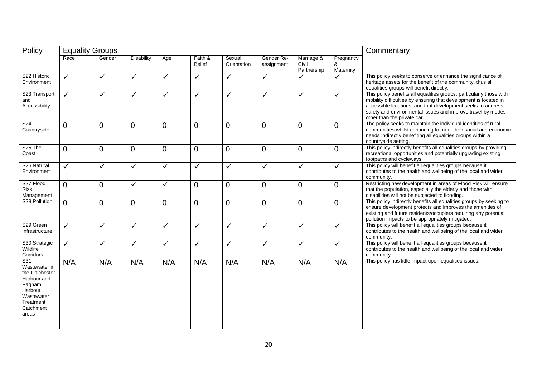| Policy                                                                                                                      | <b>Equality Groups</b> |                |                   |                |                          |                       |                          |                                    |                             | Commentary                                                                                                                                                                                                                                                                                           |
|-----------------------------------------------------------------------------------------------------------------------------|------------------------|----------------|-------------------|----------------|--------------------------|-----------------------|--------------------------|------------------------------------|-----------------------------|------------------------------------------------------------------------------------------------------------------------------------------------------------------------------------------------------------------------------------------------------------------------------------------------------|
|                                                                                                                             | Race                   | Gender         | <b>Disability</b> | Age            | Faith &<br><b>Belief</b> | Sexual<br>Orientation | Gender Re-<br>assignment | Marriage &<br>Civil<br>Partnership | Pregnancy<br>&<br>Maternity |                                                                                                                                                                                                                                                                                                      |
| S22 Historic<br>Environment                                                                                                 | $\checkmark$           | $\checkmark$   | $\checkmark$      | $\checkmark$   | $\checkmark$             | $\checkmark$          | $\checkmark$             | ✓                                  | ✓                           | This policy seeks to conserve or enhance the significance of<br>heritage assets for the benefit of the community, thus all<br>equalities groups will benefit directly.                                                                                                                               |
| S23 Transport<br>and<br>Accessibility                                                                                       | $\blacktriangledown$   | $\checkmark$   | ✓                 | $\checkmark$   | $\checkmark$             | ✓                     | $\checkmark$             | $\checkmark$                       | ✓                           | This policy benefits all equalities groups, particularly those with<br>mobility difficulties by ensuring that development is located in<br>accessible locations, and that development seeks to address<br>safety and environmental issues and improve travel by modes<br>other than the private car. |
| S <sub>24</sub><br>Countryside                                                                                              | $\overline{0}$         | $\overline{0}$ | $\overline{0}$    | $\overline{0}$ | $\overline{0}$           | $\overline{0}$        | $\overline{0}$           | 0                                  | $\overline{0}$              | The policy seeks to maintain the individual identities of rural<br>communities whilst continuing to meet their social and economic<br>needs indirectly benefiting all equalities groups within a<br>countryside setting.                                                                             |
| S <sub>25</sub> The<br>Coast                                                                                                | $\Omega$               | 0              | $\overline{0}$    | $\overline{0}$ | $\Omega$                 | $\overline{0}$        | $\Omega$                 | 0                                  | $\Omega$                    | This policy indirectly benefits all equalities groups by providing<br>recreational opportunities and potentially upgrading existing<br>footpaths and cycleways.                                                                                                                                      |
| S <sub>26</sub> Natural<br>Environment                                                                                      | $\checkmark$           | $\checkmark$   | ✓                 | $\checkmark$   | $\checkmark$             | $\checkmark$          | $\checkmark$             | $\checkmark$                       | $\checkmark$                | This policy will benefit all equalities groups because it<br>contributes to the health and wellbeing of the local and wider<br>community.                                                                                                                                                            |
| S27 Flood<br>Risk<br>Management                                                                                             | $\Omega$               | $\overline{0}$ | $\checkmark$      | $\checkmark$   | $\overline{0}$           | $\overline{0}$        | $\overline{0}$           | 0                                  | $\Omega$                    | Restricting new development in areas of Flood Risk will ensure<br>that the population, especially the elderly and those with<br>disabilities will not be subjected to flooding.                                                                                                                      |
| S28 Pollution                                                                                                               | $\Omega$               | $\overline{0}$ | $\mathbf 0$       | $\mathbf 0$    | $\overline{0}$           | $\overline{0}$        | $\mathbf 0$              | 0                                  | $\Omega$                    | This policy indirectly benefits all equalities groups by seeking to<br>ensure development protects and improves the amenities of<br>existing and future residents/occupiers requiring any potential<br>pollution impacts to be appropriately mitigated.                                              |
| S29 Green<br>Infrastructure                                                                                                 | $\checkmark$           | $\checkmark$   | ✓                 | $\checkmark$   | ✓                        | ✓                     | $\checkmark$             | $\checkmark$                       | $\checkmark$                | This policy will benefit all equalities groups because it<br>contributes to the health and wellbeing of the local and wider<br>community.                                                                                                                                                            |
| S30 Strategic<br>Wildlife<br>Corridors                                                                                      | $\sqrt{}$              | $\checkmark$   | ✓                 | $\checkmark$   | ✓                        | $\checkmark$          | $\checkmark$             | $\checkmark$                       | ✓                           | This policy will benefit all equalities groups because it<br>contributes to the health and wellbeing of the local and wider<br>community.                                                                                                                                                            |
| S31<br>Wastewater in<br>the Chichester<br>Harbour and<br>Pagham<br>Harbour<br>Wastewater<br>Treatment<br>Catchment<br>areas | N/A                    | N/A            | N/A               | N/A            | N/A                      | N/A                   | N/A                      | N/A                                | N/A                         | This policy has little impact upon equalities issues.                                                                                                                                                                                                                                                |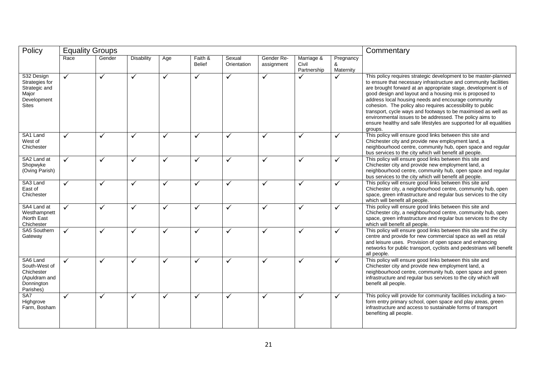| Policy                                                                                | <b>Equality Groups</b> |              |                   |              |                          |                       |                          |                                    |                             | Commentary                                                                                                                                                                                                                                                                                                                                                                                                                                                                                                                                                                                           |  |
|---------------------------------------------------------------------------------------|------------------------|--------------|-------------------|--------------|--------------------------|-----------------------|--------------------------|------------------------------------|-----------------------------|------------------------------------------------------------------------------------------------------------------------------------------------------------------------------------------------------------------------------------------------------------------------------------------------------------------------------------------------------------------------------------------------------------------------------------------------------------------------------------------------------------------------------------------------------------------------------------------------------|--|
|                                                                                       | Race                   | Gender       | <b>Disability</b> | Age          | Faith &<br><b>Belief</b> | Sexual<br>Orientation | Gender Re-<br>assignment | Marriage &<br>Civil<br>Partnership | Pregnancy<br>&<br>Maternity |                                                                                                                                                                                                                                                                                                                                                                                                                                                                                                                                                                                                      |  |
| S32 Design<br>Strategies for<br>Strategic and<br>Major<br>Development<br><b>Sites</b> | $\checkmark$           | ✓            | ✓                 | $\checkmark$ | ✓                        | $\checkmark$          | ✓                        | $\checkmark$                       | ✓                           | This policy requires strategic development to be master-planned<br>to ensure that necessary infrastructure and community facilities<br>are brought forward at an appropriate stage, development is of<br>good design and layout and a housing mix is proposed to<br>address local housing needs and encourage community<br>cohesion. The policy also requires accessibility to public<br>transport, cycle ways and footways to be maximised as well as<br>environmental issues to be addressed. The policy aims to<br>ensure healthy and safe lifestyles are supported for all equalities<br>groups. |  |
| SA1 Land<br>West of<br>Chichester                                                     | ✓                      | $\checkmark$ | ✓                 | ✓            | ✓                        | ✓                     | ✓                        | $\checkmark$                       | ✓                           | This policy will ensure good links between this site and<br>Chichester city and provide new employment land, a<br>neighbourhood centre, community hub, open space and regular<br>bus services to the city which will benefit all people.                                                                                                                                                                                                                                                                                                                                                             |  |
| SA2 Land at<br>Shopwyke<br>(Oving Parish)                                             | ✓                      | ✓            | ✓                 | ✓            | ✓                        | ✓                     | ✓                        | $\checkmark$                       | $\checkmark$                | This policy will ensure good links between this site and<br>Chichester city and provide new employment land, a<br>neighbourhood centre, community hub, open space and regular<br>bus services to the city which will benefit all people.                                                                                                                                                                                                                                                                                                                                                             |  |
| SA3 Land<br>East of<br>Chichester                                                     | $\checkmark$           | $\checkmark$ | ✓                 | $\checkmark$ | ✓                        | $\checkmark$          | ✓                        | ✓                                  | ✓                           | This policy will ensure good links between this site and<br>Chichester city, a neighbourhood centre, community hub, open<br>space, green infrastructure and regular bus services to the city<br>which will benefit all people.                                                                                                                                                                                                                                                                                                                                                                       |  |
| SA4 Land at<br>Westhampnett<br>/North East<br>Chichester                              | $\checkmark$           | $\checkmark$ | ✓                 | $\checkmark$ | ✓                        | $\checkmark$          | ✓                        | $\checkmark$                       | ✓                           | This policy will ensure good links between this site and<br>Chichester city, a neighbourhood centre, community hub, open<br>space, green infrastructure and regular bus services to the city<br>which will benefit all people.                                                                                                                                                                                                                                                                                                                                                                       |  |
| SA5 Southern<br>Gateway                                                               | $\checkmark$           | ✓            | ✓                 | $\checkmark$ | ✓                        | ✓                     | ✓                        | $\checkmark$                       | ✓                           | This policy will ensure good links between this site and the city<br>centre and provide for new commercial space as well as retail<br>and leisure uses. Provision of open space and enhancing<br>networks for public transport, cyclists and pedestrians will benefit<br>all people.                                                                                                                                                                                                                                                                                                                 |  |
| SA6 Land<br>South-West of<br>Chichester<br>(Apuldram and<br>Donnington<br>Parishes)   | $\checkmark$           | $\checkmark$ | ✓                 | $\checkmark$ | ✓                        | ✓                     | ✓                        | $\checkmark$                       | $\checkmark$                | This policy will ensure good links between this site and<br>Chichester city and provide new employment land, a<br>neighbourhood centre, community hub, open space and green<br>infrastructure and regular bus services to the city which will<br>benefit all people.                                                                                                                                                                                                                                                                                                                                 |  |
| SA7<br>Highgrove<br>Farm, Bosham                                                      | $\checkmark$           | $\checkmark$ | ✓                 | ✓            | ✓                        | ✓                     | ✓                        | $\checkmark$                       | ✓                           | This policy will provide for community facilities including a two-<br>form entry primary school, open space and play areas, green<br>infrastructure and access to sustainable forms of transport<br>benefiting all people.                                                                                                                                                                                                                                                                                                                                                                           |  |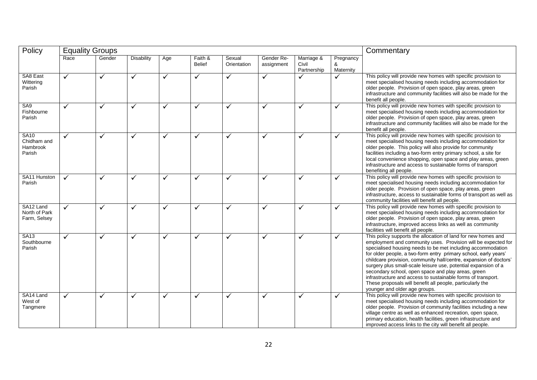| Policy                                                  | <b>Equality Groups</b> |              |                   |              |                          |                       |                          |                                    | Commentary                  |                                                                                                                                                                                                                                                                                                                                                                                                                                                                                                                                                                                                                             |
|---------------------------------------------------------|------------------------|--------------|-------------------|--------------|--------------------------|-----------------------|--------------------------|------------------------------------|-----------------------------|-----------------------------------------------------------------------------------------------------------------------------------------------------------------------------------------------------------------------------------------------------------------------------------------------------------------------------------------------------------------------------------------------------------------------------------------------------------------------------------------------------------------------------------------------------------------------------------------------------------------------------|
|                                                         | Race                   | Gender       | <b>Disability</b> | Age          | Faith &<br><b>Belief</b> | Sexual<br>Orientation | Gender Re-<br>assignment | Marriage &<br>Civil<br>Partnership | Pregnancy<br>&<br>Maternity |                                                                                                                                                                                                                                                                                                                                                                                                                                                                                                                                                                                                                             |
| SA8 East<br>Wittering<br>Parish                         | $\checkmark$           | ✓            | $\checkmark$      | $\checkmark$ | $\checkmark$             | $\checkmark$          | $\checkmark$             | $\checkmark$                       | ✓                           | This policy will provide new homes with specific provision to<br>meet specialised housing needs including accommodation for<br>older people. Provision of open space, play areas, green<br>infrastructure and community facilities will also be made for the<br>benefit all people.                                                                                                                                                                                                                                                                                                                                         |
| SA <sub>9</sub><br>Fishbourne<br>Parish                 | ✓                      | ✓            | ✓                 | ✓            | ✓                        | ✓                     | ✓                        | ✓                                  | ✓                           | This policy will provide new homes with specific provision to<br>meet specialised housing needs including accommodation for<br>older people. Provision of open space, play areas, green<br>infrastructure and community facilities will also be made for the<br>benefit all people.                                                                                                                                                                                                                                                                                                                                         |
| <b>SA10</b><br>Chidham and<br><b>Hambrook</b><br>Parish | $\checkmark$           | ✓            | ✓                 | ✓            | ✓                        | ✓                     | ✓                        | $\checkmark$                       | ✓                           | This policy will provide new homes with specific provision to<br>meet specialised housing needs including accommodation for<br>older people. This policy will also provide for community<br>facilities including a two-form entry primary school, a site for<br>local convenience shopping, open space and play areas, green<br>infrastructure and access to sustainable forms of transport<br>benefiting all people.                                                                                                                                                                                                       |
| SA11 Hunston<br>Parish                                  | $\checkmark$           | ✓            | ✓                 | $\checkmark$ | ✓                        | ✓                     | $\checkmark$             | ✓                                  | ✓                           | This policy will provide new homes with specific provision to<br>meet specialised housing needs including accommodation for<br>older people. Provision of open space, play areas, green<br>infrastructure, access to sustainable forms of transport as well as<br>community facilities will benefit all people.                                                                                                                                                                                                                                                                                                             |
| SA12 Land<br>North of Park<br>Farm, Selsey              | ✓                      | ✓            | $\checkmark$      | $\checkmark$ | ✓                        | ✓                     | $\checkmark$             | $\checkmark$                       | ✓                           | This policy will provide new homes with specific provision to<br>meet specialised housing needs including accommodation for<br>older people. Provision of open space, play areas, green<br>infrastructure, improved access links as well as community<br>facilities will benefit all people.                                                                                                                                                                                                                                                                                                                                |
| <b>SA13</b><br>Southbourne<br>Parish                    | ✓                      | $\checkmark$ | ✓                 | $\checkmark$ | ✓                        | $\checkmark$          | ✓                        | $\tilde{\checkmark}$               | ✓                           | This policy supports the allocation of land for new homes and<br>employment and community uses. Provision will be expected for<br>specialised housing needs to be met including accommodation<br>for older people, a two-form entry primary school, early years'<br>childcare provision, community hall/centre, expansion of doctors'<br>surgery plus small-scale leisure use, potential expansion of a<br>secondary school, open space and play areas, green<br>infrastructure and access to sustainable forms of transport.<br>These proposals will benefit all people, particularly the<br>younger and older age groups. |
| SA14 Land<br>West of<br>Tangmere                        | $\checkmark$           | ✓            | ✓                 | ✓            | ✓                        | ✓                     | ✓                        | ✓                                  | ✓                           | This policy will provide new homes with specific provision to<br>meet specialised housing needs including accommodation for<br>older people. Provision of community facilities including a new<br>village centre as well as enhanced recreation, open space,<br>primary education, health facilities, green infrastructure and<br>improved access links to the city will benefit all people.                                                                                                                                                                                                                                |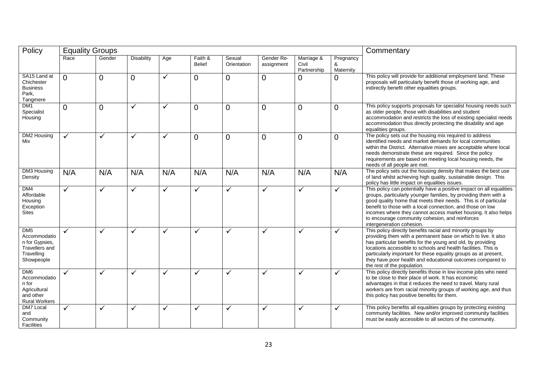| Policy                                                                                                 | <b>Equality Groups</b> |              |                   |              | Commentary               |                       |                          |                                    |                             |                                                                                                                                                                                                                                                                                                                                                                                                                                |
|--------------------------------------------------------------------------------------------------------|------------------------|--------------|-------------------|--------------|--------------------------|-----------------------|--------------------------|------------------------------------|-----------------------------|--------------------------------------------------------------------------------------------------------------------------------------------------------------------------------------------------------------------------------------------------------------------------------------------------------------------------------------------------------------------------------------------------------------------------------|
|                                                                                                        | Race                   | Gender       | <b>Disability</b> | Age          | Faith &<br><b>Belief</b> | Sexual<br>Orientation | Gender Re-<br>assignment | Marriage &<br>Civil<br>Partnership | Pregnancy<br>&<br>Maternity |                                                                                                                                                                                                                                                                                                                                                                                                                                |
| SA15 Land at<br>Chichester<br><b>Business</b><br>Park,<br>Tangmere                                     | $\Omega$               | $\Omega$     | $\overline{0}$    | $\checkmark$ | $\overline{0}$           | $\overline{0}$        | $\overline{0}$           | $\overline{0}$                     | $\overline{0}$              | This policy will provide for additional employment land. These<br>proposals will particularly benefit those of working age, and<br>indirectly benefit other equalities groups.                                                                                                                                                                                                                                                 |
| DM <sub>1</sub><br>Specialist<br>Housing                                                               | $\Omega$               | $\Omega$     | ✓                 | ✓            | $\overline{0}$           | $\overline{0}$        | $\mathbf 0$              | $\overline{0}$                     | 0                           | This policy supports proposals for specialist housing needs such<br>as older people, those with disabilities and student<br>accommodation and restricts the loss of existing specialist needs<br>accommodation thus directly protecting the disability and age<br>equalities groups.                                                                                                                                           |
| DM2 Housing<br>Mix                                                                                     | ✓                      | ✓            | ✓                 | ✓            | $\overline{0}$           | $\overline{0}$        | $\Omega$                 | $\overline{0}$                     | $\overline{0}$              | The policy sets out the housing mix required to address<br>identified needs and market demands for local communities<br>within the District. Alternative mixes are acceptable where local<br>needs demonstrate these are required. Since the policy<br>requirements are based on meeting local housing needs, the<br>needs of all people are met.                                                                              |
| DM3 Housing<br>Density                                                                                 | N/A                    | N/A          | N/A               | N/A          | N/A                      | N/A                   | N/A                      | N/A                                | N/A                         | The policy sets out the housing density that makes the best use<br>of land whilst achieving high quality, sustainable design. This<br>policy has little impact on equalities issues.                                                                                                                                                                                                                                           |
| DM4<br>Affordable<br>Housing<br>Exception<br><b>Sites</b>                                              | $\checkmark$           | ✓            | $\checkmark$      | ✓            | $\checkmark$             | $\checkmark$          | ✓                        | $\checkmark$                       | $\checkmark$                | This policy can potentially have a positive impact on all equalities<br>groups, particularly younger families, by providing them with a<br>good quality home that meets their needs. This is of particular<br>benefit to those with a local connection, and those on low<br>incomes where they cannot access market housing. It also helps<br>to encourage community cohesion, and reinforces<br>intergeneration cohesion.     |
| DM <sub>5</sub><br>Accommodatio<br>n for Gypsies,<br><b>Travellers and</b><br>Travelling<br>Showpeople | $\checkmark$           | ✓            | ✓                 | ✓            | ✓                        | ✓                     | ✓                        | ✓                                  | $\checkmark$                | This policy directly benefits racial and minority groups by<br>providing them with a permanent base on which to live. It also<br>has particular benefits for the young and old, by providing<br>locations accessible to schools and health facilities. This is<br>particularly important for these equality groups as at present,<br>they have poor health and educational outcomes compared to<br>the rest of the population. |
| DM <sub>6</sub><br>Accommodatio<br>n for<br>Agricultural<br>and other<br><b>Rural Workers</b>          | ✓                      | ✓            | ✓                 | ✓            | ✓                        | ✓                     | ✓                        | $\checkmark$                       | ✓                           | This policy directly benefits those in low income jobs who need<br>to be close to their place of work. It has economic<br>advantages in that it reduces the need to travel. Many rural<br>workers are from racial minority groups of working age, and thus<br>this policy has positive benefits for them.                                                                                                                      |
| <b>DM7 Local</b><br>and<br>Community<br>Facilities                                                     | $\checkmark$           | $\checkmark$ | ✓                 | ✓            | ✓                        | ✓                     | ✓                        | $\checkmark$                       | ✓                           | This policy benefits all equalities groups by protecting existing<br>community facilities. New and/or improved community facilities<br>must be easily accessible to all sectors of the community.                                                                                                                                                                                                                              |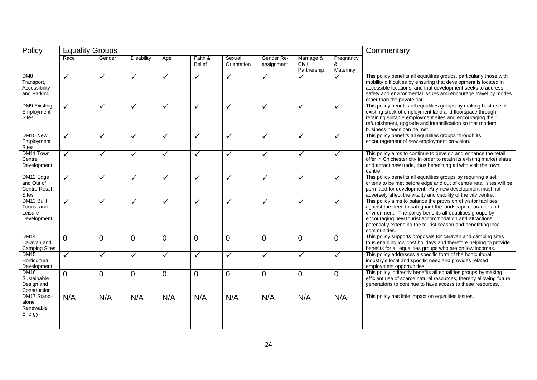| Policy                                                          | <b>Equality Groups</b> |              |                   |              |                |                |              |                      | Commentary     |                                                                                                                                                                                                                                                                                                                                      |
|-----------------------------------------------------------------|------------------------|--------------|-------------------|--------------|----------------|----------------|--------------|----------------------|----------------|--------------------------------------------------------------------------------------------------------------------------------------------------------------------------------------------------------------------------------------------------------------------------------------------------------------------------------------|
|                                                                 | Race                   | Gender       | <b>Disability</b> | Age          | Faith &        | Sexual         | Gender Re-   | Marriage &           | Pregnancy      |                                                                                                                                                                                                                                                                                                                                      |
|                                                                 |                        |              |                   |              | <b>Belief</b>  | Orientation    | assignment   | Civil<br>Partnership | &<br>Maternity |                                                                                                                                                                                                                                                                                                                                      |
| DM8<br>Transport,<br>Accessibility<br>and Parking               | $\checkmark$           | ✓            | $\checkmark$      | $\checkmark$ | ✓              | $\checkmark$   | $\checkmark$ |                      | ✓              | This policy benefits all equalities groups, particularly those with<br>mobility difficulties by ensuring that development is located in<br>accessible locations, and that development seeks to address<br>safety and environmental issues and encourage travel by modes<br>other than the private car.                               |
| <b>DM9 Existing</b><br>Employment<br><b>Sites</b>               | ✓                      | ✓            | ✓                 | ✓            | ✓              | ✓              | ✓            | $\checkmark$         | ✓              | This policy benefits all equalities groups by making best use of<br>existing stock of employment land and floorspace through<br>retaining suitable employment sites and encouraging their<br>refurbishment, upgrade and intensification so that modern<br>business needs can be met.                                                 |
| DM10 New<br>Employment<br><b>Sites</b>                          | $\checkmark$           | ✓            | ✓                 | ✓            | ✓              | ✓              | $\checkmark$ | $\checkmark$         | ✓              | This policy benefits all equalities groups through its<br>encouragement of new employment provision.                                                                                                                                                                                                                                 |
| DM11 Town<br>Centre<br>Development                              | $\checkmark$           | ✓            | ✓                 | ✓            | ✓              | ✓              | $\checkmark$ | $\checkmark$         | ✓              | This policy aims to continue to develop and enhance the retail<br>offer in Chichester city in order to retain its existing market share<br>and attract new trade, thus benefitting all who visit the town<br>centre.                                                                                                                 |
| DM12 Edge<br>and Out of<br><b>Centre Retail</b><br><b>Sites</b> | $\checkmark$           | ✓            | ✓                 | $\checkmark$ | ✓              | ✓              | $\checkmark$ | $\checkmark$         | ✓              | This policy benefits all equalities groups by requiring a set<br>criteria to be met before edge and out of centre retail sites will be<br>permitted for development. Any new development must not<br>adversely affect the vitality and viability of the city centre.                                                                 |
| DM13 Built<br><b>Tourist and</b><br>Leisure<br>Development      | $\checkmark$           | ✓            | $\checkmark$      | $\checkmark$ | ✓              | ✓              | ✓            | $\checkmark$         | ✓              | This policy aims to balance the provision of visitor facilities<br>against the need to safeguard the landscape character and<br>environment. The policy benefits all equalities groups by<br>encouraging new tourist accommodation and attractions<br>potentially extending the tourist season and benefitting local<br>communities. |
| <b>DM14</b><br>Caravan and<br><b>Camping Sites</b>              | $\Omega$               | $\Omega$     | $\overline{0}$    | $\Omega$     | $\Omega$       | $\overline{0}$ | $\Omega$     | $\overline{0}$       | $\overline{0}$ | This policy supports proposals for caravan and camping sites<br>thus enabling low cost holidays and therefore helping to provide<br>benefits for all equalities groups who are on low incomes.                                                                                                                                       |
| <b>DM15</b><br>Horticultural<br>Development                     | $\checkmark$           | $\checkmark$ | $\checkmark$      | $\checkmark$ | $\checkmark$   | $\checkmark$   | $\checkmark$ | $\checkmark$         | $\checkmark$   | This policy addresses a specific form of the horticultural<br>industry's local and specific need and provides related<br>employment opportunities.                                                                                                                                                                                   |
| <b>DM16</b><br>Sustainable<br>Design and<br>Construction        | $\Omega$               | $\Omega$     | $\Omega$          | $\Omega$     | $\overline{0}$ | $\Omega$       | $\Omega$     | $\overline{0}$       | $\overline{0}$ | This policy indirectly benefits all equalities groups by making<br>efficient use of scarce natural resources, thereby allowing future<br>generations to continue to have access to these resources.                                                                                                                                  |
| DM17 Stand-<br>alone<br>Renewable<br>Energy                     | N/A                    | N/A          | N/A               | N/A          | N/A            | N/A            | N/A          | N/A                  | N/A            | This policy has little impact on equalities issues.                                                                                                                                                                                                                                                                                  |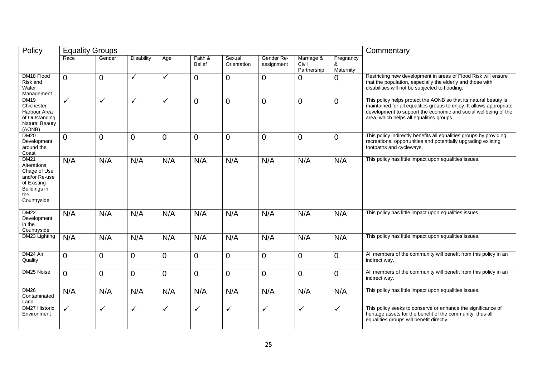| Policy                                                                                                            | <b>Equality Groups</b> |                |                   |                |                          |                       |                          |                                    |                             | Commentary                                                                                                                                                                                                                                              |
|-------------------------------------------------------------------------------------------------------------------|------------------------|----------------|-------------------|----------------|--------------------------|-----------------------|--------------------------|------------------------------------|-----------------------------|---------------------------------------------------------------------------------------------------------------------------------------------------------------------------------------------------------------------------------------------------------|
|                                                                                                                   | Race                   | Gender         | <b>Disability</b> | Age            | Faith &<br><b>Belief</b> | Sexual<br>Orientation | Gender Re-<br>assignment | Marriage &<br>Civil<br>Partnership | Pregnancy<br>&<br>Maternity |                                                                                                                                                                                                                                                         |
| DM18 Flood<br>Risk and<br>Water<br>Management                                                                     | 0                      | $\Omega$       | ✓                 | $\checkmark$   | $\Omega$                 | $\mathbf 0$           | $\overline{0}$           | 0                                  | $\Omega$                    | Restricting new development in areas of Flood Risk will ensure<br>that the population, especially the elderly and those with<br>disabilities will not be subjected to flooding.                                                                         |
| <b>DM19</b><br>Chichester<br>Harbour Area<br>of Outstanding<br><b>Natural Beauty</b><br>(AONB)                    | ✓                      | ✓              | ✓                 | $\checkmark$   | $\overline{0}$           | $\overline{0}$        | $\overline{0}$           | $\overline{0}$                     | $\Omega$                    | This policy helps protect the AONB so that its natural beauty is<br>maintained for all equalities groups to enjoy. It allows appropriate<br>development to support the economic and social wellbeing of the<br>area, which helps all equalities groups. |
| <b>DM20</b><br>Development<br>around the<br>Coast                                                                 | $\overline{0}$         | $\overline{0}$ | $\overline{0}$    | $\overline{0}$ | $\overline{0}$           | $\overline{0}$        | $\overline{0}$           | 0                                  | $\Omega$                    | This policy indirectly benefits all equalities groups by providing<br>recreational opportunities and potentially upgrading existing<br>footpaths and cycleways.                                                                                         |
| <b>DM21</b><br>Alterations,<br>Chage of Use<br>and/or Re-use<br>of Existing<br>Buildings in<br>the<br>Countryside | N/A                    | N/A            | N/A               | N/A            | N/A                      | N/A                   | N/A                      | N/A                                | N/A                         | This policy has little impact upon equalities issues.                                                                                                                                                                                                   |
| <b>DM22</b><br>Development<br>in the<br>Countryside                                                               | N/A                    | N/A            | N/A               | N/A            | N/A                      | N/A                   | N/A                      | N/A                                | N/A                         | This policy has little impact upon equalities issues.                                                                                                                                                                                                   |
| DM23 Lighting                                                                                                     | N/A                    | N/A            | N/A               | N/A            | N/A                      | N/A                   | N/A                      | N/A                                | N/A                         | This policy has little impact upon equalities issues.                                                                                                                                                                                                   |
| DM24 Air<br>Quality                                                                                               | 0                      | $\overline{0}$ | $\overline{0}$    | $\overline{0}$ | $\overline{0}$           | $\overline{0}$        | $\mathbf 0$              | 0                                  | $\overline{0}$              | All members of the community will benefit from this policy in an<br>indirect way.                                                                                                                                                                       |
| DM25 Noise                                                                                                        | 0                      | $\Omega$       | 0                 | $\overline{0}$ | $\Omega$                 | $\mathbf 0$           | $\overline{0}$           | 0                                  | $\overline{0}$              | All members of the community will benefit from this policy in an<br>indirect way.                                                                                                                                                                       |
| <b>DM26</b><br>Contaminated<br>Land                                                                               | N/A                    | N/A            | N/A               | N/A            | N/A                      | N/A                   | N/A                      | N/A                                | N/A                         | This policy has little impact upon equalities issues.                                                                                                                                                                                                   |
| <b>DM27 Historic</b><br>Environment                                                                               | ✓                      | ✓              | ✓                 | $\checkmark$   | ✓                        | ✓                     | $\checkmark$             | $\checkmark$                       | $\checkmark$                | This policy seeks to conserve or enhance the significance of<br>heritage assets for the benefit of the community, thus all<br>equalities groups will benefit directly.                                                                                  |